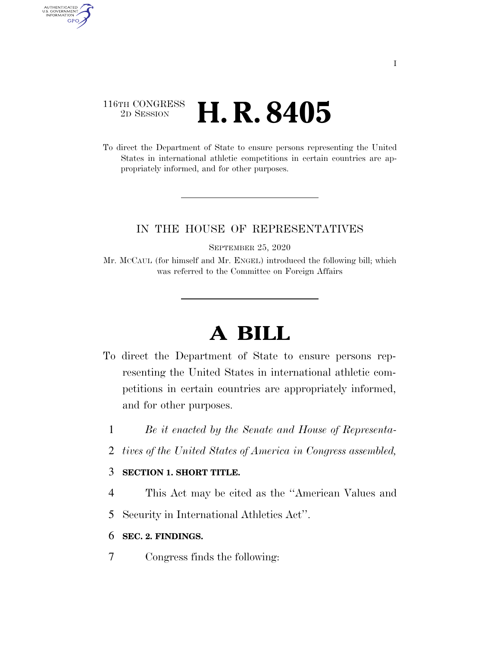# 116TH CONGRESS <sup>2D SESSION</sup> **H. R. 8405**

AUTHENTICATED<br>U.S. GOVERNMENT<br>INFORMATION GPO

> To direct the Department of State to ensure persons representing the United States in international athletic competitions in certain countries are appropriately informed, and for other purposes.

## IN THE HOUSE OF REPRESENTATIVES

SEPTEMBER 25, 2020

Mr. MCCAUL (for himself and Mr. ENGEL) introduced the following bill; which was referred to the Committee on Foreign Affairs

# **A BILL**

- To direct the Department of State to ensure persons representing the United States in international athletic competitions in certain countries are appropriately informed, and for other purposes.
	- 1 *Be it enacted by the Senate and House of Representa-*
	- 2 *tives of the United States of America in Congress assembled,*

#### 3 **SECTION 1. SHORT TITLE.**

- 4 This Act may be cited as the ''American Values and
- 5 Security in International Athletics Act''.
- 6 **SEC. 2. FINDINGS.**
- 7 Congress finds the following: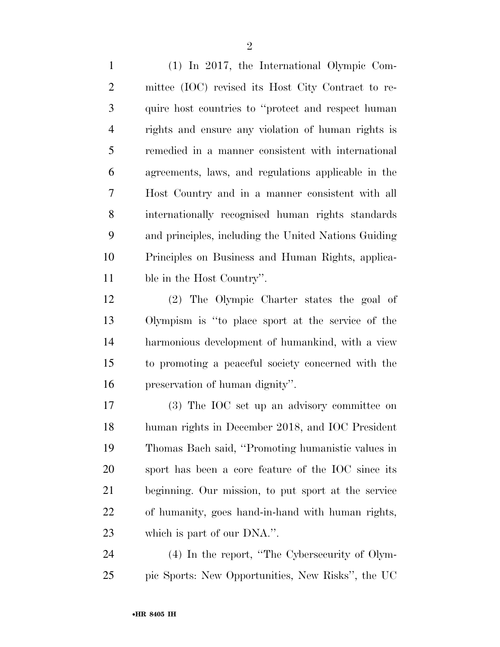(1) In 2017, the International Olympic Com- mittee (IOC) revised its Host City Contract to re- quire host countries to ''protect and respect human rights and ensure any violation of human rights is remedied in a manner consistent with international agreements, laws, and regulations applicable in the Host Country and in a manner consistent with all internationally recognised human rights standards and principles, including the United Nations Guiding Principles on Business and Human Rights, applica-ble in the Host Country''.

 (2) The Olympic Charter states the goal of Olympism is ''to place sport at the service of the harmonious development of humankind, with a view to promoting a peaceful society concerned with the preservation of human dignity''.

 (3) The IOC set up an advisory committee on human rights in December 2018, and IOC President Thomas Bach said, ''Promoting humanistic values in sport has been a core feature of the IOC since its beginning. Our mission, to put sport at the service of humanity, goes hand-in-hand with human rights, which is part of our DNA.''.

 (4) In the report, ''The Cybersecurity of Olym-pic Sports: New Opportunities, New Risks'', the UC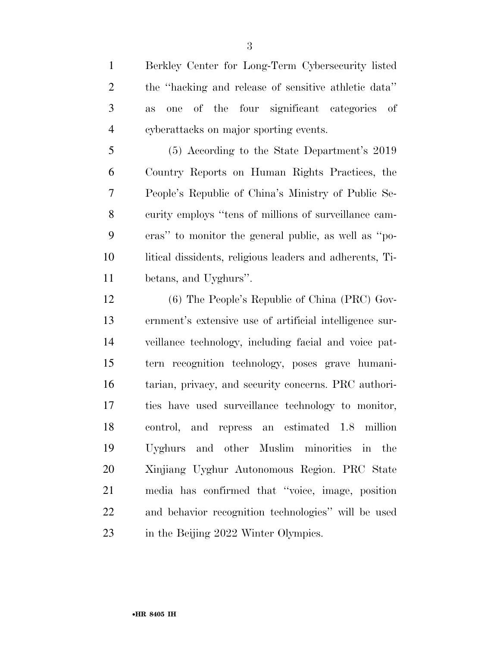Berkley Center for Long-Term Cybersecurity listed the ''hacking and release of sensitive athletic data'' as one of the four significant categories of cyberattacks on major sporting events.

 (5) According to the State Department's 2019 Country Reports on Human Rights Practices, the People's Republic of China's Ministry of Public Se- curity employs ''tens of millions of surveillance cam- eras'' to monitor the general public, as well as ''po- litical dissidents, religious leaders and adherents, Ti-betans, and Uyghurs''.

 (6) The People's Republic of China (PRC) Gov- ernment's extensive use of artificial intelligence sur- veillance technology, including facial and voice pat- tern recognition technology, poses grave humani- tarian, privacy, and security concerns. PRC authori- ties have used surveillance technology to monitor, control, and repress an estimated 1.8 million Uyghurs and other Muslim minorities in the Xinjiang Uyghur Autonomous Region. PRC State media has confirmed that ''voice, image, position and behavior recognition technologies'' will be used 23 in the Beijing 2022 Winter Olympics.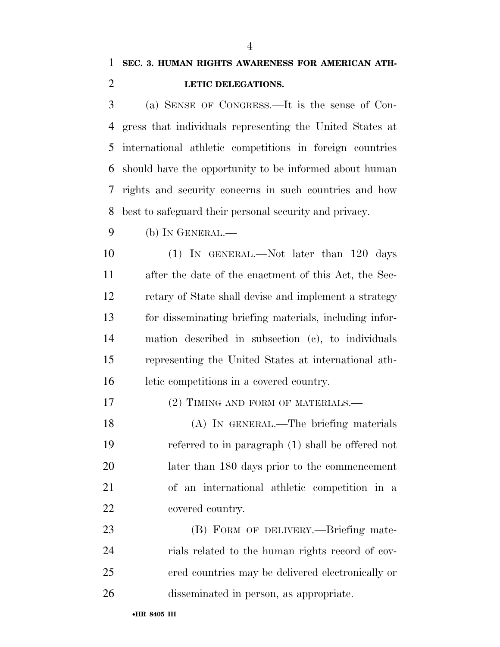### **LETIC DELEGATIONS.**

 (a) SENSE OF CONGRESS.—It is the sense of Con- gress that individuals representing the United States at international athletic competitions in foreign countries should have the opportunity to be informed about human rights and security concerns in such countries and how best to safeguard their personal security and privacy.

(b) IN GENERAL.—

10 (1) IN GENERAL.—Not later than 120 days after the date of the enactment of this Act, the Sec- retary of State shall devise and implement a strategy for disseminating briefing materials, including infor- mation described in subsection (c), to individuals representing the United States at international ath-letic competitions in a covered country.

17 (2) TIMING AND FORM OF MATERIALS.—

 (A) IN GENERAL.—The briefing materials referred to in paragraph (1) shall be offered not later than 180 days prior to the commencement of an international athletic competition in a covered country.

23 (B) FORM OF DELIVERY.—Briefing mate- rials related to the human rights record of cov- ered countries may be delivered electronically or disseminated in person, as appropriate.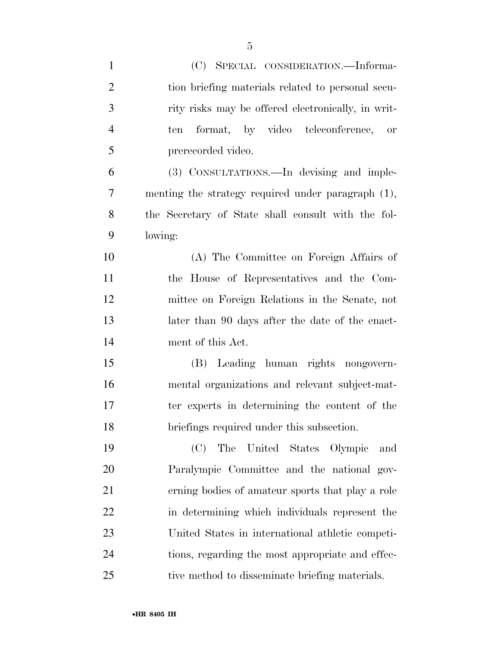| $\mathbf{1}$   | (C) SPECIAL CONSIDERATION.—Informa-                |
|----------------|----------------------------------------------------|
| $\overline{2}$ | tion briefing materials related to personal secu-  |
| 3              | rity risks may be offered electronically, in writ- |
| $\overline{4}$ | format, by video teleconference, or<br>ten         |
| 5              | prerecorded video.                                 |
| 6              | (3) CONSULTATIONS.—In devising and imple-          |
| 7              | menting the strategy required under paragraph (1), |
| 8              | the Secretary of State shall consult with the fol- |
| 9              | lowing:                                            |
| 10             | (A) The Committee on Foreign Affairs of            |
| 11             | the House of Representatives and the Com-          |
| 12             | mittee on Foreign Relations in the Senate, not     |
| 13             | later than 90 days after the date of the enact-    |
| 14             | ment of this Act.                                  |
| 15             | (B) Leading human rights nongovern-                |
| 16             | mental organizations and relevant subject-mat-     |
| 17             | ter experts in determining the content of the      |
| 18             | briefings required under this subsection.          |
| 19             | The United States Olympic<br>(C)<br>and            |
| 20             | Paralympic Committee and the national gov-         |
| 21             | erning bodies of amateur sports that play a role   |
| 22             | in determining which individuals represent the     |
| 23             | United States in international athletic competi-   |
| 24             | tions, regarding the most appropriate and effec-   |
| 25             | tive method to disseminate briefing materials.     |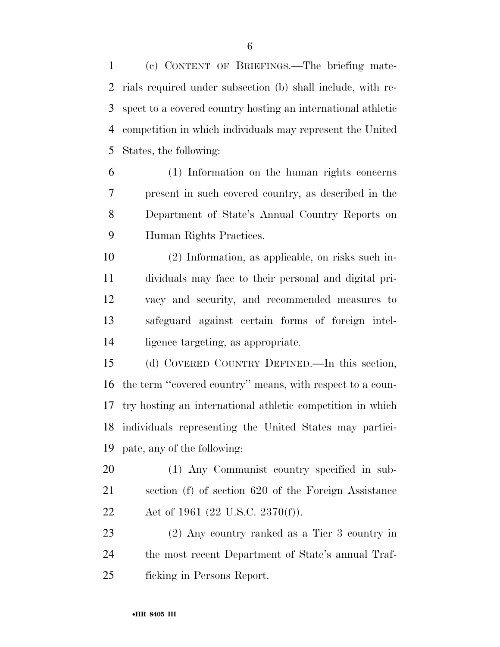(c) CONTENT OF BRIEFINGS.—The briefing mate- rials required under subsection (b) shall include, with re- spect to a covered country hosting an international athletic competition in which individuals may represent the United States, the following:

 (1) Information on the human rights concerns present in such covered country, as described in the Department of State's Annual Country Reports on Human Rights Practices.

 (2) Information, as applicable, on risks such in- dividuals may face to their personal and digital pri- vacy and security, and recommended measures to safeguard against certain forms of foreign intel-ligence targeting, as appropriate.

 (d) COVERED COUNTRY DEFINED.—In this section, the term ''covered country'' means, with respect to a coun- try hosting an international athletic competition in which individuals representing the United States may partici-pate, any of the following:

 (1) Any Communist country specified in sub- section (f) of section 620 of the Foreign Assistance 22 Act of 1961 (22 U.S.C. 2370(f)).

 (2) Any country ranked as a Tier 3 country in the most recent Department of State's annual Traf-ficking in Persons Report.